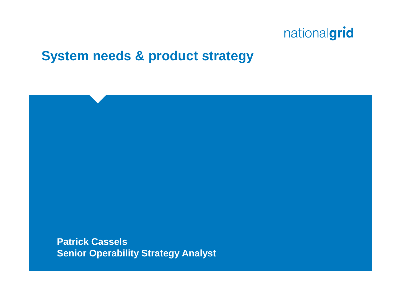### **System needs & product strategy**

**Patrick Cassels Senior Operability Strategy Analyst**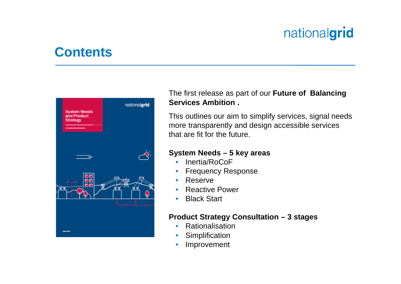### **Contents**



The first release as part of our **Future of Balancing Services Ambition .**

This outlines our aim to simplify services, signal needs more transparently and design accessible services that are fit for the future.

#### **System Needs – 5 key areas**

- Inertia/RoCoF
- Frequency Response
- Reserve
- Reactive Power
- **Black Start**

#### **Product Strategy Consultation – 3 stages**

- Rationalisation
- **Simplification**
- **Improvement**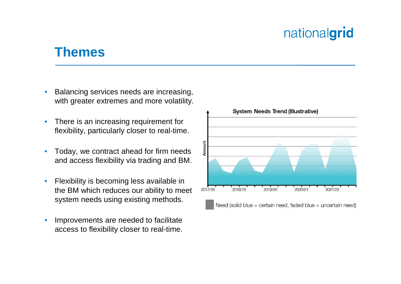#### **Themes**

- Balancing services needs are increasing, with greater extremes and more volatility.
- There is an increasing requirement for flexibility, particularly closer to real-time.
- Today, we contract ahead for firm needs and access flexibility via trading and BM.
- Flexibility is becoming less available in the BM which reduces our ability to meet system needs using existing methods.
- Improvements are needed to facilitate access to flexibility closer to real-time.

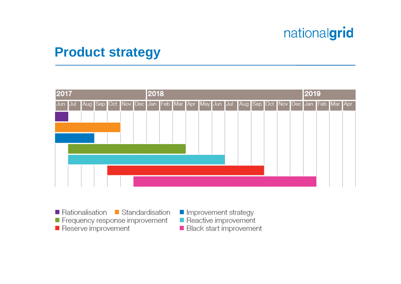### **Product strategy**



- Rationalisation Standardisation Frequency response improvement
- Reserve improvement
- Improvement strategy
- Reactive improvement
- Black start improvement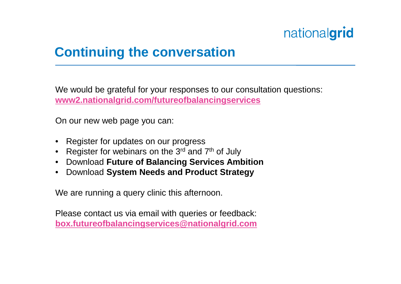### **Continuing the conversation**

We would be grateful for your responses to our consultation questions: **www2.nationalgrid.com/futureofbalancingservices**

On our new web page you can:

- Register for updates on our progress
- Register for webinars on the  $3<sup>rd</sup>$  and  $7<sup>th</sup>$  of July
- Download **Future of Balancing Services Ambition**
- Download **System Needs and Product Strategy**

We are running a query clinic this afternoon.

Please contact us via email with queries or feedback: **box.futureofbalancingservices@nationalgrid.com**